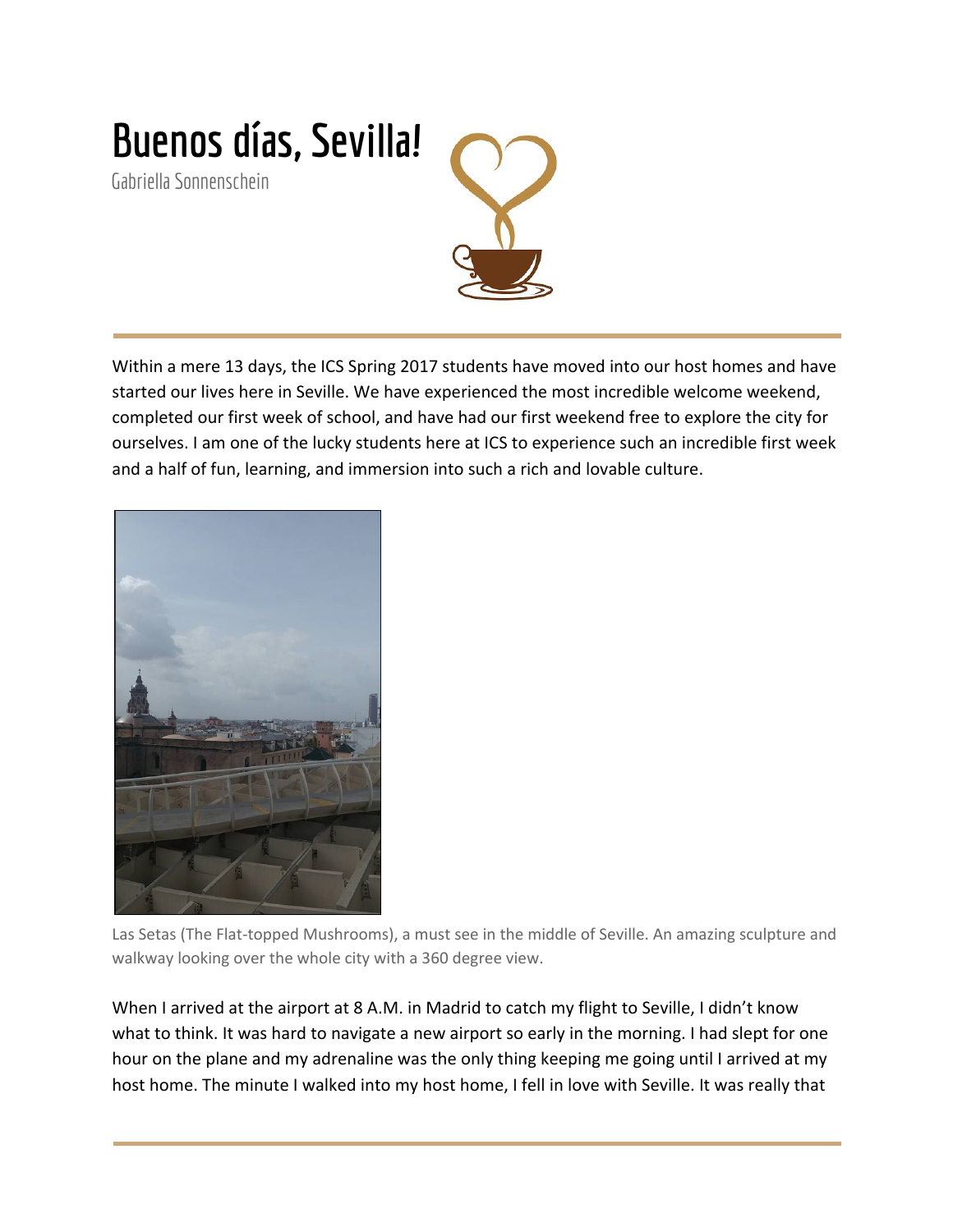

Within a mere 13 days, the ICS Spring 2017 students have moved into our host homes and have started our lives here in Seville. We have experienced the most incredible welcome weekend, completed our first week of school, and have had our first weekend free to explore the city for ourselves. I am one of the lucky students here at ICS to experience such an incredible first week and a half of fun, learning, and immersion into such a rich and lovable culture.



Las Setas (The Flat-topped Mushrooms), a must see in the middle of Seville. An amazing sculpture and walkway looking over the whole city with a 360 degree view.

When I arrived at the airport at 8 A.M. in Madrid to catch my flight to Seville, I didn't know what to think. It was hard to navigate a new airport so early in the morning. I had slept for one hour on the plane and my adrenaline was the only thing keeping me going until I arrived at my host home. The minute I walked into my host home, I fell in love with Seville. It was really that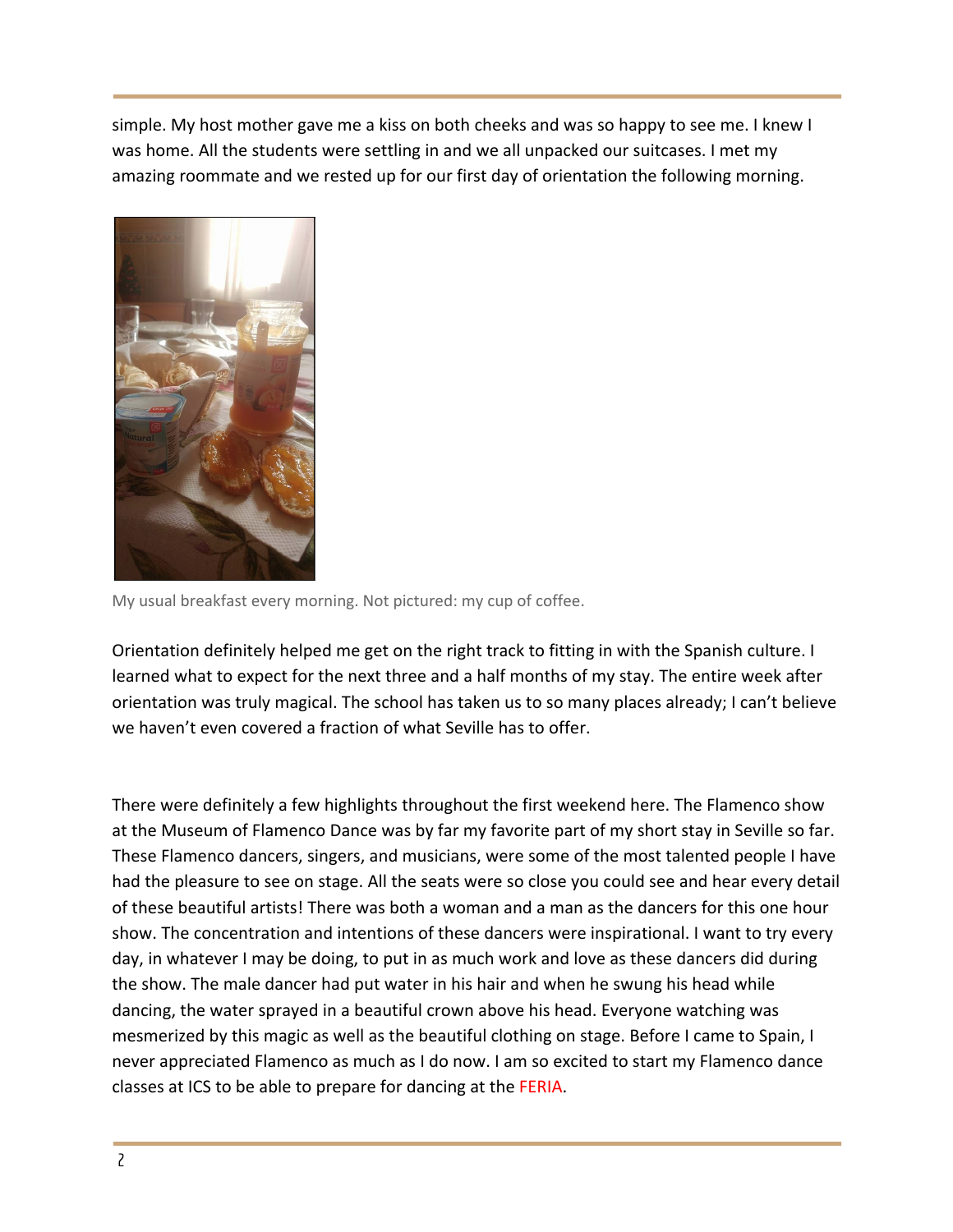simple. My host mother gave me a kiss on both cheeks and was so happy to see me. I knew I was home. All the students were settling in and we all unpacked our suitcases. I met my amazing roommate and we rested up for our first day of orientation the following morning.



My usual breakfast every morning. Not pictured: my cup of coffee.

Orientation definitely helped me get on the right track to fitting in with the Spanish culture. I learned what to expect for the next three and a half months of my stay. The entire week after orientation was truly magical. The school has taken us to so many places already; I can't believe we haven't even covered a fraction of what Seville has to offer.

There were definitely a few highlights throughout the first weekend here. The Flamenco show at the Museum of Flamenco Dance was by far my favorite part of my short stay in Seville so far. These Flamenco dancers, singers, and musicians, were some of the most talented people I have had the pleasure to see on stage. All the seats were so close you could see and hear every detail of these beautiful artists! There was both a woman and a man as the dancers for this one hour show. The concentration and intentions of these dancers were inspirational. I want to try every day, in whatever I may be doing, to put in as much work and love as these dancers did during the show. The male dancer had put water in his hair and when he swung his head while dancing, the water sprayed in a beautiful crown above his head. Everyone watching was mesmerized by this magic as well as the beautiful clothing on stage. Before I came to Spain, I never appreciated Flamenco as much as I do now. I am so excited to start my Flamenco dance classes at ICS to be able to prepare for dancing at the FERIA.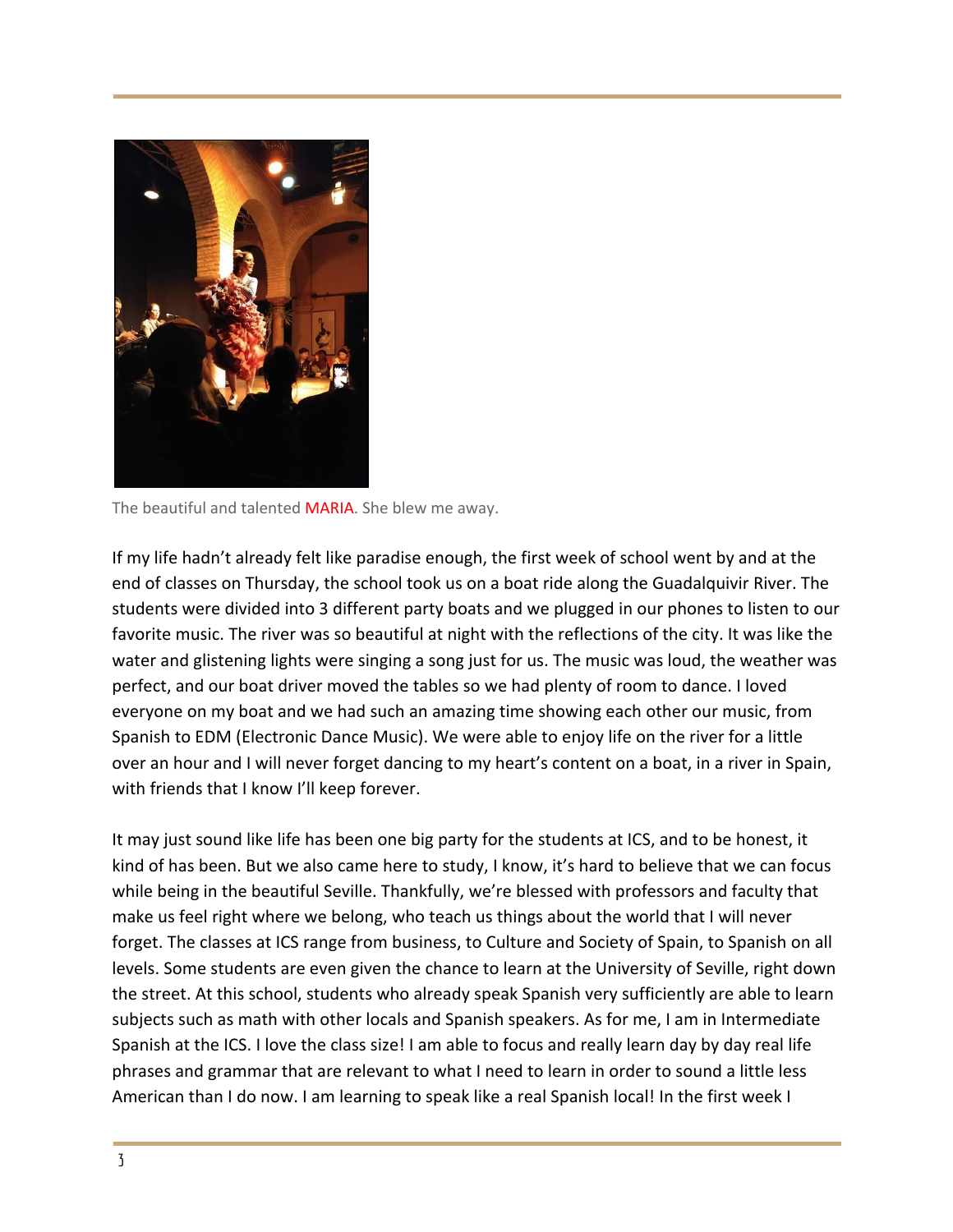

The beautiful and talented MARIA. She blew me away.

If my life hadn't already felt like paradise enough, the first week of school went by and at the end of classes on Thursday, the school took us on a boat ride along the Guadalquivir River. The students were divided into 3 different party boats and we plugged in our phones to listen to our favorite music. The river was so beautiful at night with the reflections of the city. It was like the water and glistening lights were singing a song just for us. The music was loud, the weather was perfect, and our boat driver moved the tables so we had plenty of room to dance. I loved everyone on my boat and we had such an amazing time showing each other our music, from Spanish to EDM (Electronic Dance Music). We were able to enjoy life on the river for a little over an hour and I will never forget dancing to my heart's content on a boat, in a river in Spain, with friends that I know I'll keep forever.

It may just sound like life has been one big party for the students at ICS, and to be honest, it kind of has been. But we also came here to study, I know, it's hard to believe that we can focus while being in the beautiful Seville. Thankfully, we're blessed with professors and faculty that make us feel right where we belong, who teach us things about the world that I will never forget. The classes at ICS range from business, to Culture and Society of Spain, to Spanish on all levels. Some students are even given the chance to learn at the University of Seville, right down the street. At this school, students who already speak Spanish very sufficiently are able to learn subjects such as math with other locals and Spanish speakers. As for me, I am in Intermediate Spanish at the ICS. I love the class size! I am able to focus and really learn day by day real life phrases and grammar that are relevant to what I need to learn in order to sound a little less American than I do now. I am learning to speak like a real Spanish local! In the first week I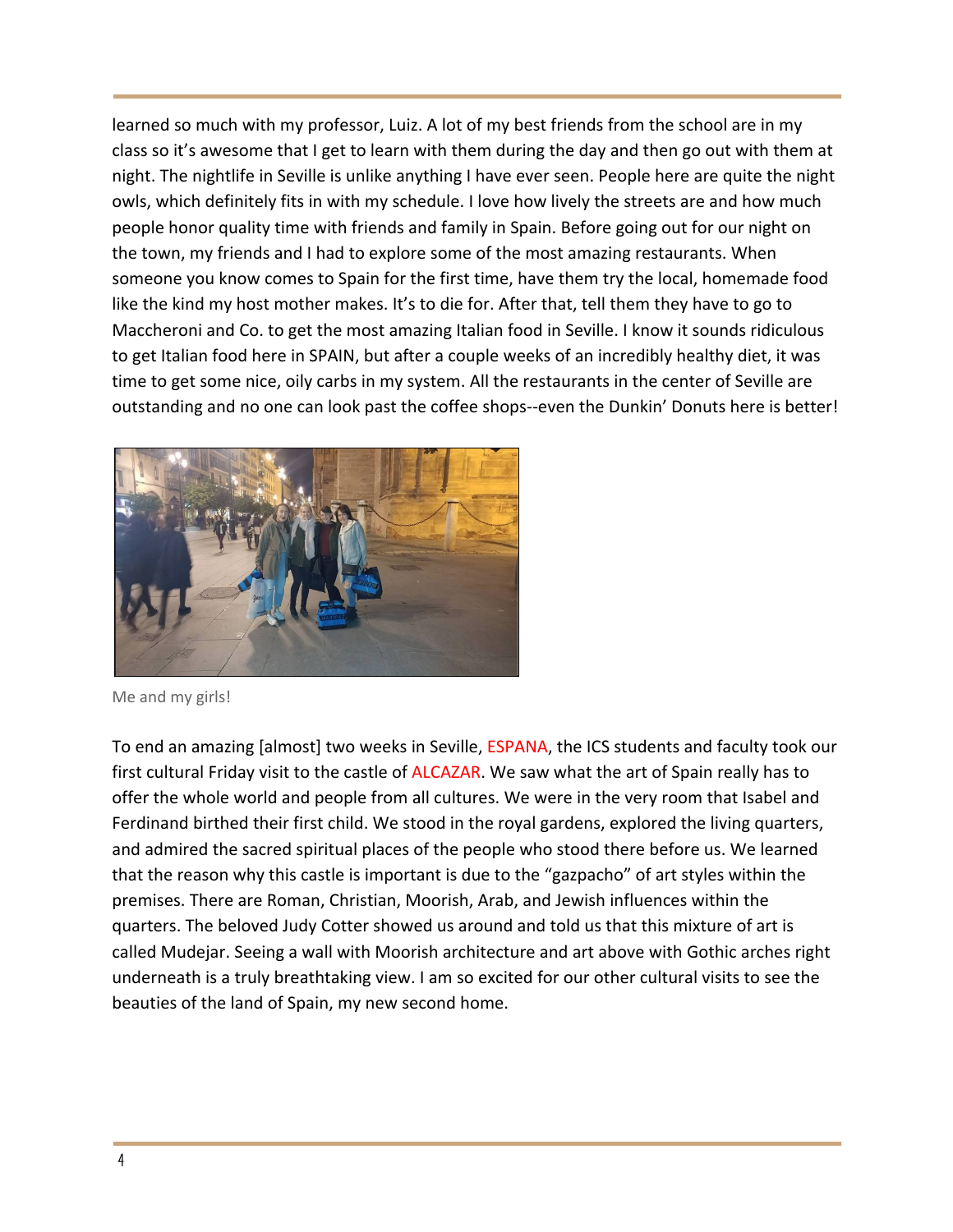learned so much with my professor, Luiz. A lot of my best friends from the school are in my class so it's awesome that I get to learn with them during the day and then go out with them at night. The nightlife in Seville is unlike anything I have ever seen. People here are quite the night owls, which definitely fits in with my schedule. I love how lively the streets are and how much people honor quality time with friends and family in Spain. Before going out for our night on the town, my friends and I had to explore some of the most amazing restaurants. When someone you know comes to Spain for the first time, have them try the local, homemade food like the kind my host mother makes. It's to die for. After that, tell them they have to go to Maccheroni and Co. to get the most amazing Italian food in Seville. I know it sounds ridiculous to get Italian food here in SPAIN, but after a couple weeks of an incredibly healthy diet, it was time to get some nice, oily carbs in my system. All the restaurants in the center of Seville are outstanding and no one can look past the coffee shops--even the Dunkin' Donuts here is better!



Me and my girls!

To end an amazing [almost] two weeks in Seville, ESPANA, the ICS students and faculty took our first cultural Friday visit to the castle of ALCAZAR. We saw what the art of Spain really has to offer the whole world and people from all cultures. We were in the very room that Isabel and Ferdinand birthed their first child. We stood in the royal gardens, explored the living quarters, and admired the sacred spiritual places of the people who stood there before us. We learned that the reason why this castle is important is due to the "gazpacho" of art styles within the premises. There are Roman, Christian, Moorish, Arab, and Jewish influences within the quarters. The beloved Judy Cotter showed us around and told us that this mixture of art is called Mudejar. Seeing a wall with Moorish architecture and art above with Gothic arches right underneath is a truly breathtaking view. I am so excited for our other cultural visits to see the beauties of the land of Spain, my new second home.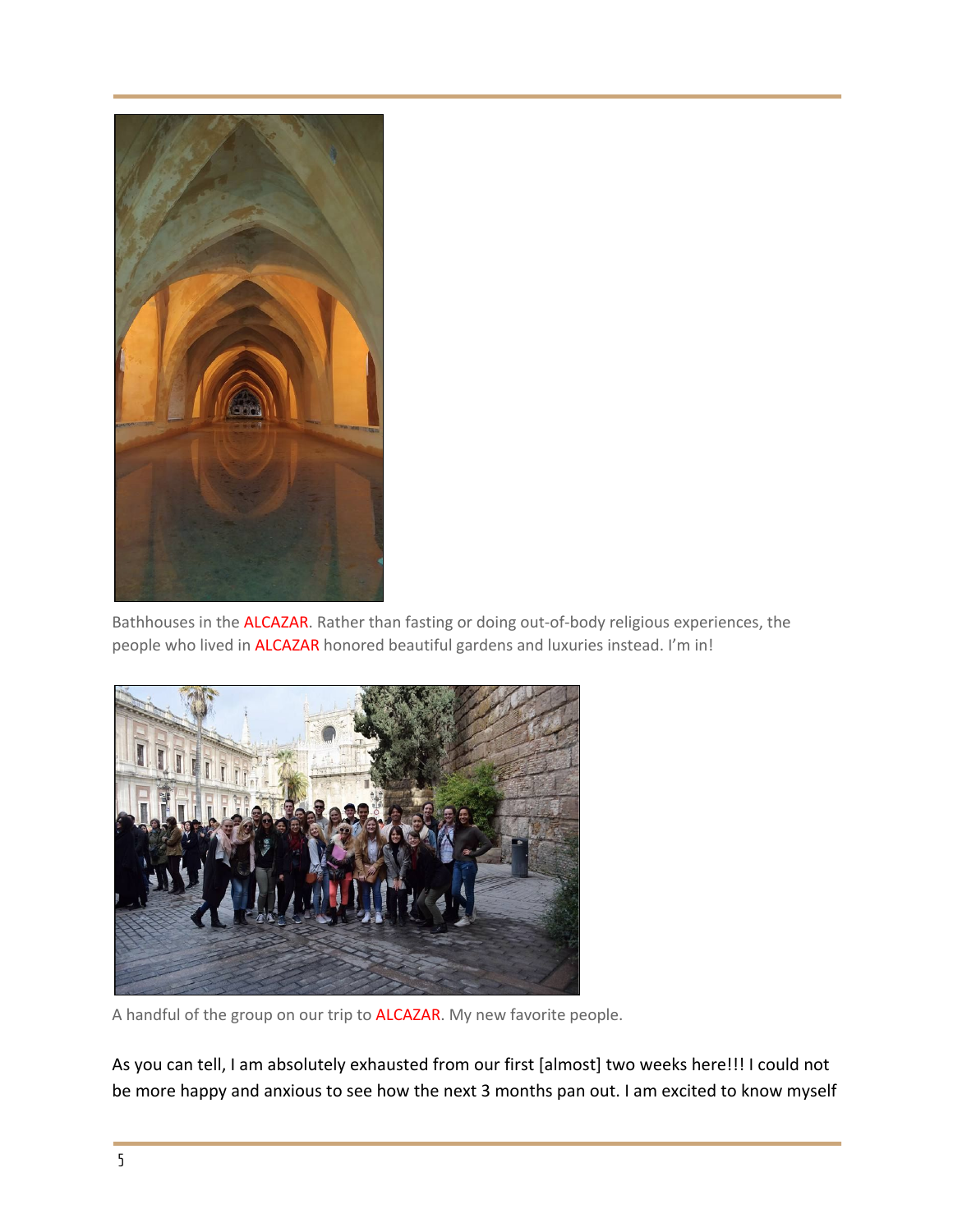

Bathhouses in the ALCAZAR. Rather than fasting or doing out-of-body religious experiences, the people who lived in ALCAZAR honored beautiful gardens and luxuries instead. I'm in!



A handful of the group on our trip to ALCAZAR. My new favorite people.

As you can tell, I am absolutely exhausted from our first [almost] two weeks here!!! I could not be more happy and anxious to see how the next 3 months pan out. I am excited to know myself